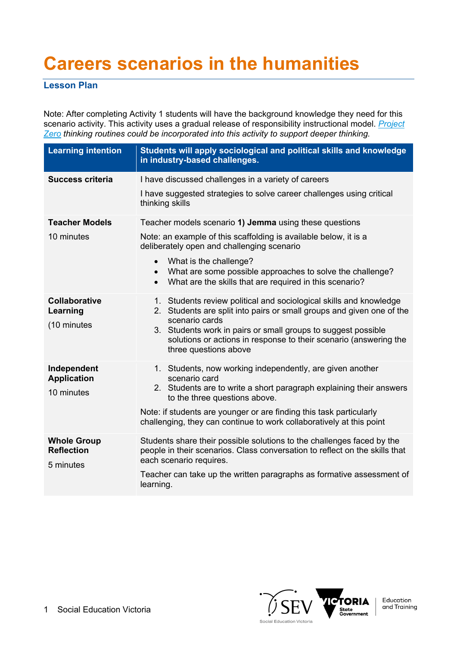# **Careers scenarios in the humanities**

## **Lesson Plan**

Note: After completing Activity 1 students will have the background knowledge they need for this scenario activity. This activity uses a gradual release of responsibility instructional model. *Project Zero thinking routines could be incorporated into this activity to support deeper thinking.*

| <b>Learning intention</b>                            | Students will apply sociological and political skills and knowledge<br>in industry-based challenges.                                                                                                                                                                                                                                                 |
|------------------------------------------------------|------------------------------------------------------------------------------------------------------------------------------------------------------------------------------------------------------------------------------------------------------------------------------------------------------------------------------------------------------|
| <b>Success criteria</b>                              | I have discussed challenges in a variety of careers<br>I have suggested strategies to solve career challenges using critical<br>thinking skills                                                                                                                                                                                                      |
| <b>Teacher Models</b><br>10 minutes                  | Teacher models scenario 1) Jemma using these questions<br>Note: an example of this scaffolding is available below, it is a<br>deliberately open and challenging scenario<br>What is the challenge?<br>What are some possible approaches to solve the challenge?<br>$\bullet$<br>What are the skills that are required in this scenario?<br>$\bullet$ |
| <b>Collaborative</b><br>Learning<br>(10 minutes      | 1. Students review political and sociological skills and knowledge<br>2. Students are split into pairs or small groups and given one of the<br>scenario cards<br>3. Students work in pairs or small groups to suggest possible<br>solutions or actions in response to their scenario (answering the<br>three questions above                         |
| Independent<br><b>Application</b><br>10 minutes      | 1. Students, now working independently, are given another<br>scenario card<br>2. Students are to write a short paragraph explaining their answers<br>to the three questions above.<br>Note: if students are younger or are finding this task particularly<br>challenging, they can continue to work collaboratively at this point                    |
| <b>Whole Group</b><br><b>Reflection</b><br>5 minutes | Students share their possible solutions to the challenges faced by the<br>people in their scenarios. Class conversation to reflect on the skills that<br>each scenario requires.<br>Teacher can take up the written paragraphs as formative assessment of<br>learning.                                                                               |

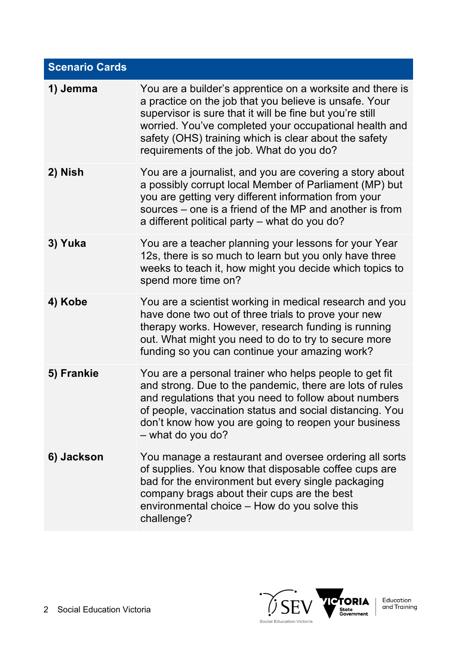| <b>Scenario Cards</b> |                                                                                                                                                                                                                                                                                                                                                |
|-----------------------|------------------------------------------------------------------------------------------------------------------------------------------------------------------------------------------------------------------------------------------------------------------------------------------------------------------------------------------------|
| 1) Jemma              | You are a builder's apprentice on a worksite and there is<br>a practice on the job that you believe is unsafe. Your<br>supervisor is sure that it will be fine but you're still<br>worried. You've completed your occupational health and<br>safety (OHS) training which is clear about the safety<br>requirements of the job. What do you do? |
| 2) Nish               | You are a journalist, and you are covering a story about<br>a possibly corrupt local Member of Parliament (MP) but<br>you are getting very different information from your<br>sources – one is a friend of the MP and another is from<br>a different political party - what do you do?                                                         |
| 3) Yuka               | You are a teacher planning your lessons for your Year<br>12s, there is so much to learn but you only have three<br>weeks to teach it, how might you decide which topics to<br>spend more time on?                                                                                                                                              |
| 4) Kobe               | You are a scientist working in medical research and you<br>have done two out of three trials to prove your new<br>therapy works. However, research funding is running<br>out. What might you need to do to try to secure more<br>funding so you can continue your amazing work?                                                                |
| 5) Frankie            | You are a personal trainer who helps people to get fit<br>and strong. Due to the pandemic, there are lots of rules<br>and regulations that you need to follow about numbers<br>of people, vaccination status and social distancing. You<br>don't know how you are going to reopen your business<br>- what do you do?                           |
| 6) Jackson            | You manage a restaurant and oversee ordering all sorts<br>of supplies. You know that disposable coffee cups are<br>bad for the environment but every single packaging<br>company brags about their cups are the best<br>environmental choice - How do you solve this<br>challenge?                                                             |

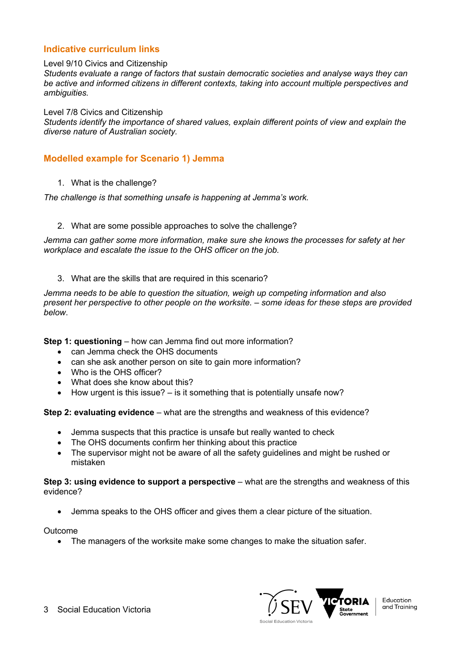### **Indicative curriculum links**

#### Level 9/10 Civics and Citizenship

*Students evaluate a range of factors that sustain democratic societies and analyse ways they can be active and informed citizens in different contexts, taking into account multiple perspectives and ambiguities.*

Level 7/8 Civics and Citizenship

*Students identify the importance of shared values, explain different points of view and explain the diverse nature of Australian society.*

#### **Modelled example for Scenario 1) Jemma**

1. What is the challenge?

*The challenge is that something unsafe is happening at Jemma's work.*

#### 2. What are some possible approaches to solve the challenge?

*Jemma can gather some more information, make sure she knows the processes for safety at her workplace and escalate the issue to the OHS officer on the job.*

3. What are the skills that are required in this scenario?

*Jemma needs to be able to question the situation, weigh up competing information and also present her perspective to other people on the worksite. – some ideas for these steps are provided below*.

**Step 1: questioning** – how can Jemma find out more information?

- can Jemma check the OHS documents
- can she ask another person on site to gain more information?
- Who is the OHS officer?
- What does she know about this?
- How urgent is this issue? is it something that is potentially unsafe now?

**Step 2: evaluating evidence** – what are the strengths and weakness of this evidence?

- Jemma suspects that this practice is unsafe but really wanted to check
- The OHS documents confirm her thinking about this practice
- The supervisor might not be aware of all the safety guidelines and might be rushed or mistaken

**Step 3: using evidence to support a perspective** – what are the strengths and weakness of this evidence?

• Jemma speaks to the OHS officer and gives them a clear picture of the situation.

Outcome

• The managers of the worksite make some changes to make the situation safer.